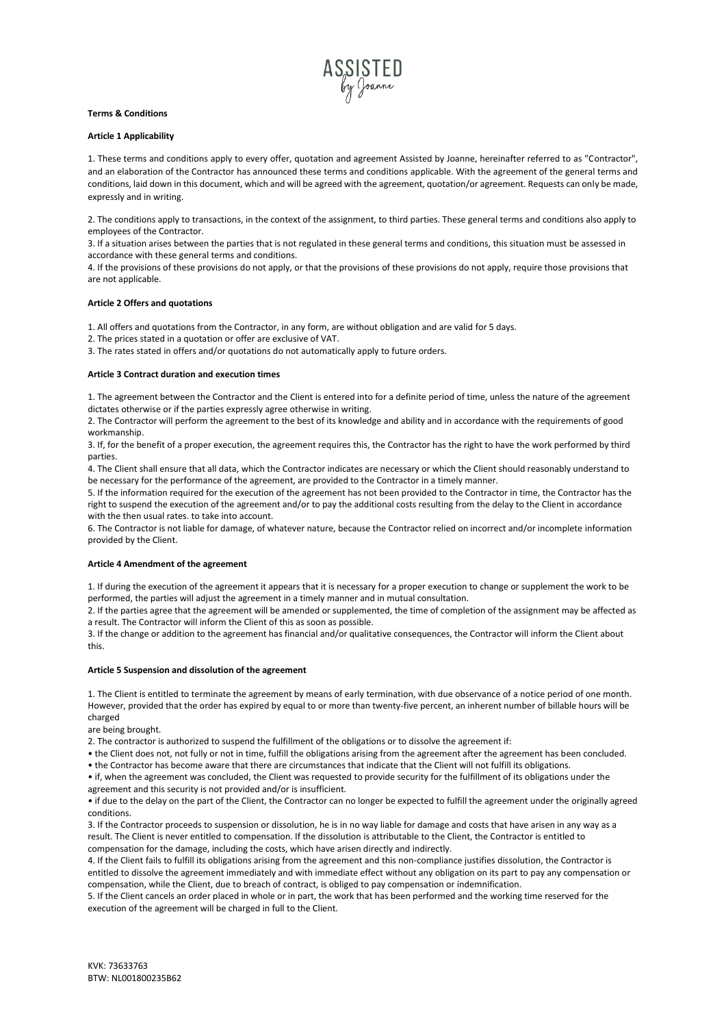

# **Terms & Conditions**

## **Article 1 Applicability**

1. These terms and conditions apply to every offer, quotation and agreement Assisted by Joanne, hereinafter referred to as "Contractor", and an elaboration of the Contractor has announced these terms and conditions applicable. With the agreement of the general terms and conditions, laid down in this document, which and will be agreed with the agreement, quotation/or agreement. Requests can only be made, expressly and in writing.

2. The conditions apply to transactions, in the context of the assignment, to third parties. These general terms and conditions also apply to employees of the Contractor.

3. If a situation arises between the parties that is not regulated in these general terms and conditions, this situation must be assessed in accordance with these general terms and conditions.

4. If the provisions of these provisions do not apply, or that the provisions of these provisions do not apply, require those provisions that are not applicable.

## **Article 2 Offers and quotations**

1. All offers and quotations from the Contractor, in any form, are without obligation and are valid for 5 days.

2. The prices stated in a quotation or offer are exclusive of VAT.

3. The rates stated in offers and/or quotations do not automatically apply to future orders.

#### **Article 3 Contract duration and execution times**

1. The agreement between the Contractor and the Client is entered into for a definite period of time, unless the nature of the agreement dictates otherwise or if the parties expressly agree otherwise in writing.

2. The Contractor will perform the agreement to the best of its knowledge and ability and in accordance with the requirements of good workmanship.

3. If, for the benefit of a proper execution, the agreement requires this, the Contractor has the right to have the work performed by third parties.

4. The Client shall ensure that all data, which the Contractor indicates are necessary or which the Client should reasonably understand to be necessary for the performance of the agreement, are provided to the Contractor in a timely manner.

5. If the information required for the execution of the agreement has not been provided to the Contractor in time, the Contractor has the right to suspend the execution of the agreement and/or to pay the additional costs resulting from the delay to the Client in accordance with the then usual rates. to take into account.

6. The Contractor is not liable for damage, of whatever nature, because the Contractor relied on incorrect and/or incomplete information provided by the Client.

## **Article 4 Amendment of the agreement**

1. If during the execution of the agreement it appears that it is necessary for a proper execution to change or supplement the work to be performed, the parties will adjust the agreement in a timely manner and in mutual consultation.

2. If the parties agree that the agreement will be amended or supplemented, the time of completion of the assignment may be affected as a result. The Contractor will inform the Client of this as soon as possible.

3. If the change or addition to the agreement has financial and/or qualitative consequences, the Contractor will inform the Client about this.

#### **Article 5 Suspension and dissolution of the agreement**

1. The Client is entitled to terminate the agreement by means of early termination, with due observance of a notice period of one month. However, provided that the order has expired by equal to or more than twenty-five percent, an inherent number of billable hours will be charged

are being brought.

2. The contractor is authorized to suspend the fulfillment of the obligations or to dissolve the agreement if:

• the Client does not, not fully or not in time, fulfill the obligations arising from the agreement after the agreement has been concluded.

• the Contractor has become aware that there are circumstances that indicate that the Client will not fulfill its obligations. • if, when the agreement was concluded, the Client was requested to provide security for the fulfillment of its obligations under the

agreement and this security is not provided and/or is insufficient.

• if due to the delay on the part of the Client, the Contractor can no longer be expected to fulfill the agreement under the originally agreed conditions.

3. If the Contractor proceeds to suspension or dissolution, he is in no way liable for damage and costs that have arisen in any way as a result. The Client is never entitled to compensation. If the dissolution is attributable to the Client, the Contractor is entitled to compensation for the damage, including the costs, which have arisen directly and indirectly.

4. If the Client fails to fulfill its obligations arising from the agreement and this non-compliance justifies dissolution, the Contractor is entitled to dissolve the agreement immediately and with immediate effect without any obligation on its part to pay any compensation or compensation, while the Client, due to breach of contract, is obliged to pay compensation or indemnification.

5. If the Client cancels an order placed in whole or in part, the work that has been performed and the working time reserved for the execution of the agreement will be charged in full to the Client.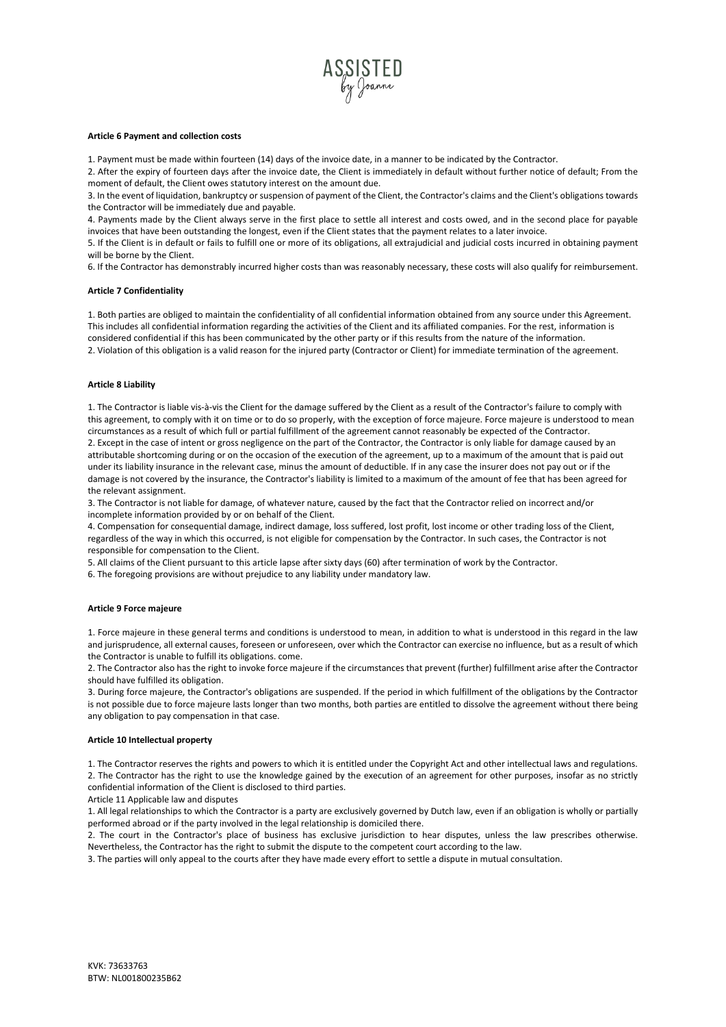

#### **Article 6 Payment and collection costs**

1. Payment must be made within fourteen (14) days of the invoice date, in a manner to be indicated by the Contractor.

2. After the expiry of fourteen days after the invoice date, the Client is immediately in default without further notice of default; From the moment of default, the Client owes statutory interest on the amount due.

3. In the event of liquidation, bankruptcy or suspension of payment of the Client, the Contractor's claims and the Client's obligations towards the Contractor will be immediately due and payable.

4. Payments made by the Client always serve in the first place to settle all interest and costs owed, and in the second place for payable invoices that have been outstanding the longest, even if the Client states that the payment relates to a later invoice.

5. If the Client is in default or fails to fulfill one or more of its obligations, all extrajudicial and judicial costs incurred in obtaining payment will be borne by the Client.

6. If the Contractor has demonstrably incurred higher costs than was reasonably necessary, these costs will also qualify for reimbursement.

#### **Article 7 Confidentiality**

1. Both parties are obliged to maintain the confidentiality of all confidential information obtained from any source under this Agreement. This includes all confidential information regarding the activities of the Client and its affiliated companies. For the rest, information is considered confidential if this has been communicated by the other party or if this results from the nature of the information. 2. Violation of this obligation is a valid reason for the injured party (Contractor or Client) for immediate termination of the agreement.

## **Article 8 Liability**

1. The Contractor is liable vis-à-vis the Client for the damage suffered by the Client as a result of the Contractor's failure to comply with this agreement, to comply with it on time or to do so properly, with the exception of force majeure. Force majeure is understood to mean circumstances as a result of which full or partial fulfillment of the agreement cannot reasonably be expected of the Contractor. 2. Except in the case of intent or gross negligence on the part of the Contractor, the Contractor is only liable for damage caused by an attributable shortcoming during or on the occasion of the execution of the agreement, up to a maximum of the amount that is paid out under its liability insurance in the relevant case, minus the amount of deductible. If in any case the insurer does not pay out or if the damage is not covered by the insurance, the Contractor's liability is limited to a maximum of the amount of fee that has been agreed for the relevant assignment.

3. The Contractor is not liable for damage, of whatever nature, caused by the fact that the Contractor relied on incorrect and/or incomplete information provided by or on behalf of the Client.

4. Compensation for consequential damage, indirect damage, loss suffered, lost profit, lost income or other trading loss of the Client, regardless of the way in which this occurred, is not eligible for compensation by the Contractor. In such cases, the Contractor is not responsible for compensation to the Client.

5. All claims of the Client pursuant to this article lapse after sixty days (60) after termination of work by the Contractor.

6. The foregoing provisions are without prejudice to any liability under mandatory law.

## **Article 9 Force majeure**

1. Force majeure in these general terms and conditions is understood to mean, in addition to what is understood in this regard in the law and jurisprudence, all external causes, foreseen or unforeseen, over which the Contractor can exercise no influence, but as a result of which the Contractor is unable to fulfill its obligations. come.

2. The Contractor also has the right to invoke force majeure if the circumstances that prevent (further) fulfillment arise after the Contractor should have fulfilled its obligation.

3. During force majeure, the Contractor's obligations are suspended. If the period in which fulfillment of the obligations by the Contractor is not possible due to force majeure lasts longer than two months, both parties are entitled to dissolve the agreement without there being any obligation to pay compensation in that case.

#### **Article 10 Intellectual property**

1. The Contractor reserves the rights and powers to which it is entitled under the Copyright Act and other intellectual laws and regulations. 2. The Contractor has the right to use the knowledge gained by the execution of an agreement for other purposes, insofar as no strictly confidential information of the Client is disclosed to third parties.

Article 11 Applicable law and disputes

1. All legal relationships to which the Contractor is a party are exclusively governed by Dutch law, even if an obligation is wholly or partially performed abroad or if the party involved in the legal relationship is domiciled there.

2. The court in the Contractor's place of business has exclusive jurisdiction to hear disputes, unless the law prescribes otherwise. Nevertheless, the Contractor has the right to submit the dispute to the competent court according to the law.

3. The parties will only appeal to the courts after they have made every effort to settle a dispute in mutual consultation.